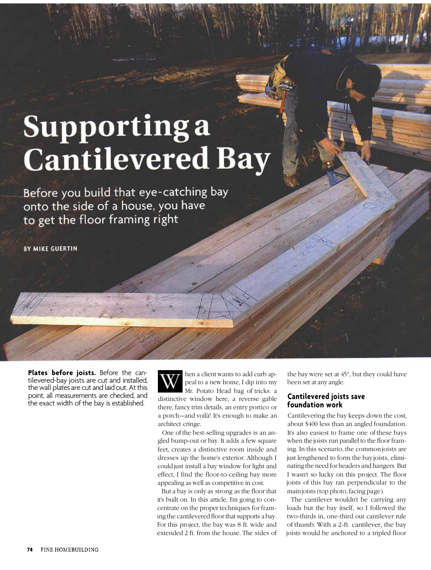# **Supportinga Cantilevered Bay**

Before you build that eye-catching bay onto the side of a house, you have to get the floor framing right

**BY MIKE GUERTIN** 

**Plates before joists.** Before the cantilevered-bay joists are cut and installed, the wall plates are cut and laid out. At this point, all measurements are checked, and the exact width of the bay is established.

W hen a client wants to add curb appeal to a new home, I dip into my Mr. Potato Head bag of tricks: a distinctive window here, a reverse gable there, fancy trim details, an entry portico or a porch—and voilà! It's enough to make an architect cringe.

One of the best-selling upgrades is an angled bump-out or bay. It adds a few square feet, creates a distinctive room inside and dresses up the home's exterior. Although I could just install a bay window for light and effect, I find the floor-to-ceiling bay more appealing as well as competitive in cost.

But a bay is only as strong as the floor that it's built on. In this article, I'm going to concentrate on the proper techniques for framing the cantilevered floor that supports a bay. For this project, the bay was 8 ft. wide and extended 2 ft. from the house. The sides of the bay were set at 45°, but they could have been set at any angle.

#### **Cantilevered joists save foundation work**

Cantilevering the bay keeps down the cost, about \$400 less than an angled foundation. It's also easiest to frame one of these bays when the joists run parallel to the floor framing. In this scenario, the common joists are just lengthened to form the bay joists, eliminating the need for headers and hangers. But I wasn't so lucky on this project. The floor joists of this bay ran perpendicular to the main joists (top photo, facing page).

The cantilever wouldn't be carrying any loads but the bay itself, so I followed the two-thirds in, one-third out cantilever rule of thumb. With a 2-ft. cantilever, the bay joists would be anchored to a tripled floor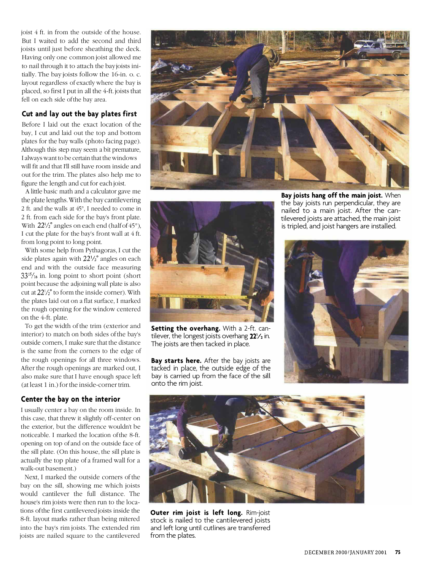joist 4 ft. in from the outside of the house. But I waited to add the second and third joists until just before sheathing the deck. Having only one common joist allowed me to nail through it to attach the bay joists initially. The bay joists follow the 16-in. o. c. layout regardless of exactly where the bay is placed, so first I put in all the 4-ft. joists that fell on each side of the bay area.

#### **Cut and lay out the bay plates first**

Before I laid out the exact location of the bay, I cut and laid out the top and bottom plates for the bay walls (photo facing page). Although this step may seem a bit premature, I always want to be certain that the windows will fit and that I'll still have room inside and out for the trim. The plates also help me to figure the length and cut for each joist.

A little basic math and a calculator gave me the plate lengths. With the bay cantilevering 2 ft. and the walls at 45°, I needed to come in 2 ft. from each side for the bay's front plate. from long point to long point. I cut the plate for the bay's front wall at 4 ft. With  $22\frac{1}{2}$ ° angles on each end (half of 45°),

With some help from Pythagoras, I cut the side plates again with  $22\frac{1}{2}$ ° angles on each end and with the outside face measuring  $33^{15}/_{16}$  in. long point to short point (short point because the adjoining wall plate is also cut at  $22\frac{1}{2}$  to form the inside corner). With the plates laid out on a flat surface, I marked the rough opening for the window centered on the 4-ft. plate.

To get the width of the trim (exterior and interior) to match on both sides of the bay's outside corners, I make sure that the distance is the same from the corners to the edge of the rough openings for all three windows. After the rough openings are marked out, I also make sure that I have enough space left (at least 1 in.) for the inside-corner trim.

### **Center the bay on the interior**

I usually center a bay on the room inside. In this case, that threw it slightly off-center on the exterior, but the difference wouldn't be noticeable. I marked the location of the 8-ft. opening on top of and on the outside face of the sill plate. (On this house, the sill plate is actually the top plate of a framed wall for a walk-out basement.)

Next, I marked the outside corners of the bay on the sill, showing me which joists would cantilever the full distance. The house's rim joists were then run to the locations of the first cantilevered joists inside the 8-ft. layout marks rather than being mitered into the bay's rim joists. The extended rim joists are nailed square to the cantilevered





**Setting the overhang.** With a 2-ft. cantilever, the longest joists overhang  $22\frac{1}{2}$  in. The joists are then tacked in place.

**Bay starts here.** After the bay joists are tacked in place, the outside edge of the bay is carried up from the face of the sill onto the rim joist.

**Bay joists hang off the main joist.** When the bay joists run perpendicular, they are nailed to a main joist. After the cantilevered joists are attached, the main joist is tripled, and joist hangers are installed.





**Outer rim joist is left long.** Rim-joist stock is nailed to the cantilevered joists and left long until cutlines are transferred from the plates.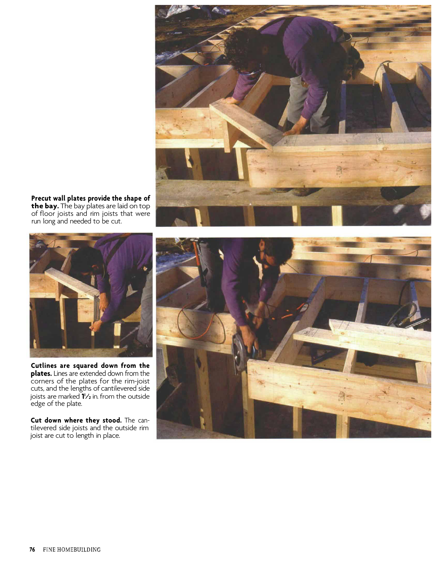

**Precut wall plates provide the shape of the bay.** The bay plates are laid on top of floor joists and rim joists that were run long and needed to be cut.



**Cutlines are squared down from the plates.** Lines are extended down from the corners of the plates for the rim-joist cuts, and the lengths of cantilevered side joists are marked  $1/2$  in. from the outside edge of the plate.

**Cut down where they stood.** The cantilevered side joists and the outside rim joist are cut to length in place.